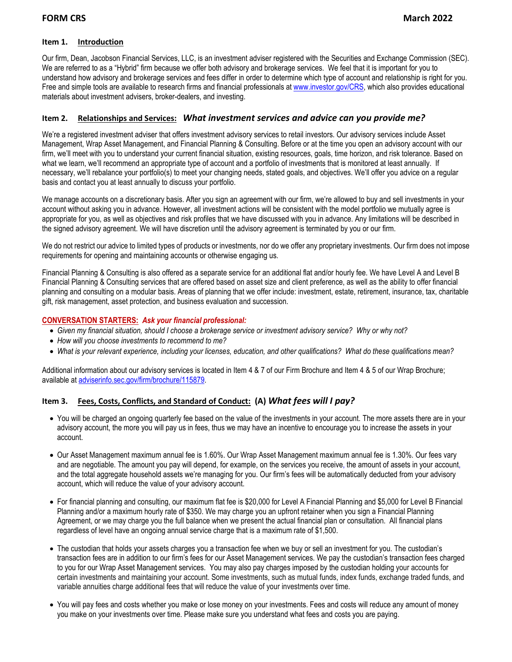#### **Item 1. Introduction**

Our firm, Dean, Jacobson Financial Services, LLC, is an investment adviser registered with the Securities and Exchange Commission (SEC). We are referred to as a "Hybrid" firm because we offer both advisory and brokerage services. We feel that it is important for you to understand how advisory and brokerage services and fees differ in order to determine which type of account and relationship is right for you. Free and simple tools are available to research firms and financial professionals a[t www.investor.gov/CRS,](http://www.investor.gov/CRS) which also provides educational materials about investment advisers, broker-dealers, and investing.

## **Item 2. Relationships and Services:** *What investment services and advice can you provide me?*

We're a registered investment adviser that offers investment advisory services to retail investors. Our advisory services include Asset Management, Wrap Asset Management, and Financial Planning & Consulting. Before or at the time you open an advisory account with our firm, we'll meet with you to understand your current financial situation, existing resources, goals, time horizon, and risk tolerance. Based on what we learn, we'll recommend an appropriate type of account and a portfolio of investments that is monitored at least annually. If necessary, we'll rebalance your portfolio(s) to meet your changing needs, stated goals, and objectives. We'll offer you advice on a regular basis and contact you at least annually to discuss your portfolio.

We manage accounts on a discretionary basis. After you sign an agreement with our firm, we're allowed to buy and sell investments in your account without asking you in advance. However, all investment actions will be consistent with the model portfolio we mutually agree is appropriate for you, as well as objectives and risk profiles that we have discussed with you in advance. Any limitations will be described in the signed advisory agreement. We will have discretion until the advisory agreement is terminated by you or our firm.

We do not restrict our advice to limited types of products or investments, nor do we offer any proprietary investments. Our firm does not impose requirements for opening and maintaining accounts or otherwise engaging us.

Financial Planning & Consulting is also offered as a separate service for an additional flat and/or hourly fee. We have Level A and Level B Financial Planning & Consulting services that are offered based on asset size and client preference, as well as the ability to offer financial planning and consulting on a modular basis. Areas of planning that we offer include: investment, estate, retirement, insurance, tax, charitable gift, risk management, asset protection, and business evaluation and succession.

### **CONVERSATION STARTERS:** *Ask your financial professional:*

- *Given my financial situation, should I choose a brokerage service or investment advisory service? Why or why not?*
- *How will you choose investments to recommend to me?*
- *What is your relevant experience, including your licenses, education, and other qualifications? What do these qualifications mean?*

Additional information about our advisory services is located in Item 4 & 7 of our Firm Brochure and Item 4 & 5 of our Wrap Brochure; available at [adviserinfo.sec.gov/firm/brochure/115879.](https://adviserinfo.sec.gov/firm/brochure/115879)

## **Item 3. Fees, Costs, Conflicts, and Standard of Conduct: (A)** *What fees will I pay?*

- You will be charged an ongoing quarterly fee based on the value of the investments in your account. The more assets there are in your advisory account, the more you will pay us in fees, thus we may have an incentive to encourage you to increase the assets in your account.
- Our Asset Management maximum annual fee is 1.60%. Our Wrap Asset Management maximum annual fee is 1.30%. Our fees vary and are negotiable. The amount you pay will depend, for example, on the services you receive, the amount of assets in your account, and the total aggregate household assets we're managing for you. Our firm's fees will be automatically deducted from your advisory account, which will reduce the value of your advisory account.
- For financial planning and consulting, our maximum flat fee is \$20,000 for Level A Financial Planning and \$5,000 for Level B Financial Planning and/or a maximum hourly rate of \$350. We may charge you an upfront retainer when you sign a Financial Planning Agreement, or we may charge you the full balance when we present the actual financial plan or consultation. All financial plans regardless of level have an ongoing annual service charge that is a maximum rate of \$1,500.
- The custodian that holds your assets charges you a transaction fee when we buy or sell an investment for you. The custodian's transaction fees are in addition to our firm's fees for our Asset Management services. We pay the custodian's transaction fees charged to you for our Wrap Asset Management services. You may also pay charges imposed by the custodian holding your accounts for certain investments and maintaining your account. Some investments, such as mutual funds, index funds, exchange traded funds, and variable annuities charge additional fees that will reduce the value of your investments over time.
- You will pay fees and costs whether you make or lose money on your investments. Fees and costs will reduce any amount of money you make on your investments over time. Please make sure you understand what fees and costs you are paying.